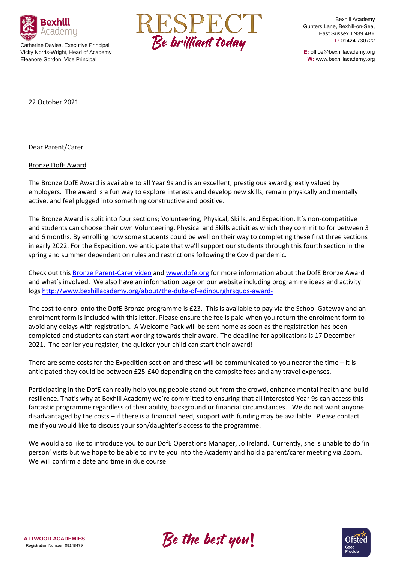

Catherine Davies, Executive Principal Vicky Norris-Wright, Head of Academy Eleanore Gordon, Vice Principal



Bexhill Academy Gunters Lane, Bexhill-on-Sea, East Sussex TN39 4BY **T:** 01424 730722

**E:** office@bexhillacademy.org **W:** www.bexhillacademy.org

22 October 2021

Dear Parent/Carer

Bronze DofE Award

The Bronze DofE Award is available to all Year 9s and is an excellent, prestigious award greatly valued by employers. The award is a fun way to explore interests and develop new skills, remain physically and mentally active, and feel plugged into something constructive and positive.

The Bronze Award is split into four sections; Volunteering, Physical, Skills, and Expedition. It's non-competitive and students can choose their own Volunteering, Physical and Skills activities which they commit to for between 3 and 6 months. By enrolling now some students could be well on their way to completing these first three sections in early 2022. For the Expedition, we anticipate that we'll support our students through this fourth section in the spring and summer dependent on rules and restrictions following the Covid pandemic.

Check out this [Bronze Parent-Carer video](https://www.youtube.com/watch?v=h_jMnMqeo7s) and [www.dofe.org](http://www.dofe.org/) for more information about the DofE Bronze Award and what's involved. We also have an information page on our website including programme ideas and activity logs<http://www.bexhillacademy.org/about/the-duke-of-edinburghrsquos-award->

The cost to enrol onto the DofE Bronze programme is £23. This is available to pay via the School Gateway and an enrolment form is included with this letter. Please ensure the fee is paid when you return the enrolment form to avoid any delays with registration. A Welcome Pack will be sent home as soon as the registration has been completed and students can start working towards their award. The deadline for applications is 17 December 2021. The earlier you register, the quicker your child can start their award!

There are some costs for the Expedition section and these will be communicated to you nearer the time – it is anticipated they could be between £25-£40 depending on the campsite fees and any travel expenses.

Participating in the DofE can really help young people stand out from the crowd, enhance mental health and build resilience. That's why at Bexhill Academy we're committed to ensuring that all interested Year 9s can access this fantastic programme regardless of their ability, background or financial circumstances. We do not want anyone disadvantaged by the costs – if there is a financial need, support with funding may be available. Please contact me if you would like to discuss your son/daughter's access to the programme.

We would also like to introduce you to our DofE Operations Manager, Jo Ireland. Currently, she is unable to do 'in person' visits but we hope to be able to invite you into the Academy and hold a parent/carer meeting via Zoom. We will confirm a date and time in due course.



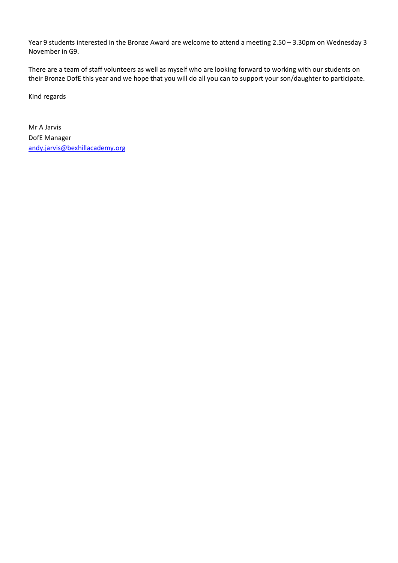Year 9 students interested in the Bronze Award are welcome to attend a meeting 2.50 – 3.30pm on Wednesday 3 November in G9.

There are a team of staff volunteers as well as myself who are looking forward to working with our students on their Bronze DofE this year and we hope that you will do all you can to support your son/daughter to participate.

Kind regards

Mr A Jarvis DofE Manager [andy.jarvis@bexhillacademy.org](mailto:andy.jarvis@bexhillacademy.org)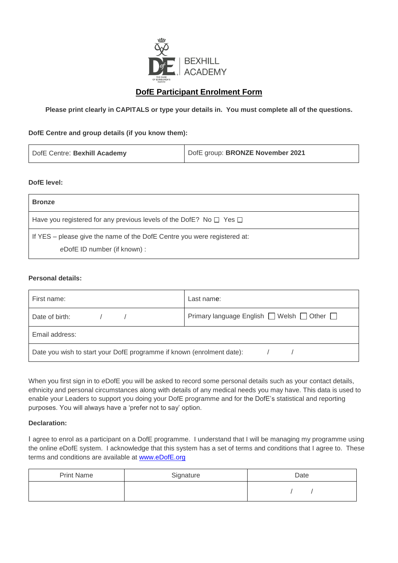

# **DofE Participant Enrolment Form**

**Please print clearly in CAPITALS or type your details in. You must complete all of the questions.**

#### **DofE Centre and group details (if you know them):**

| DofE Centre: Bexhill Academy | DofE group: BRONZE November 2021 |
|------------------------------|----------------------------------|
|------------------------------|----------------------------------|

#### **DofE level:**

| Have you registered for any previous levels of the DofE? No $\Box$ Yes $\Box$<br>If YES – please give the name of the DofE Centre you were registered at: | <b>Bronze</b> |
|-----------------------------------------------------------------------------------------------------------------------------------------------------------|---------------|
|                                                                                                                                                           |               |
| eDofE ID number (if known) :                                                                                                                              |               |

#### **Personal details:**

| First name:                                                                 | Last name: |  |
|-----------------------------------------------------------------------------|------------|--|
| Primary language English $\Box$ Welsh $\Box$ Other $\Box$<br>Date of birth: |            |  |
| Email address:                                                              |            |  |
| Date you wish to start your DofE programme if known (enrolment date):       |            |  |

When you first sign in to *e*DofE you will be asked to record some personal details such as your contact details, ethnicity and personal circumstances along with details of any medical needs you may have. This data is used to enable your Leaders to support you doing your DofE programme and for the DofE's statistical and reporting purposes. You will always have a 'prefer not to say' option.

## **Declaration:**

I agree to enrol as a participant on a DofE programme. I understand that I will be managing my programme using the online *e*DofE system. I acknowledge that this system has a set of terms and conditions that I agree to. These terms and conditions are available at [www.eDofE.org](http://www.edofe.org/)

| <b>Print Name</b> | Signature | Date |
|-------------------|-----------|------|
|                   |           |      |